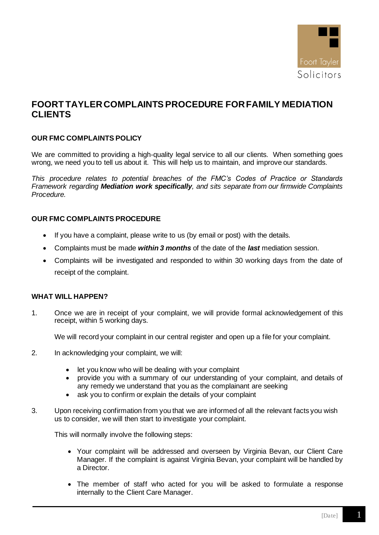

# **FOORT TAYLERCOMPLAINTS PROCEDURE FOR FAMILY MEDIATION CLIENTS**

## **OUR FMC COMPLAINTS POLICY**

We are committed to providing a high-quality legal service to all our clients. When something goes wrong, we need you to tell us about it. This will help us to maintain, and improve our standards.

*This procedure relates to potential breaches of the FMC's Codes of Practice or Standards Framework regarding Mediation work specifically, and sits separate from our firmwide Complaints Procedure.*

## **OUR FMC COMPLAINTS PROCEDURE**

- If you have a complaint, please write to us (by email or post) with the details.
- Complaints must be made *within 3 months* of the date of the *last* mediation session.
- Complaints will be investigated and responded to within 30 working days from the date of receipt of the complaint.

#### **WHAT WILL HAPPEN?**

1. Once we are in receipt of your complaint, we will provide formal acknowledgement of this receipt, within 5 working days.

We will record your complaint in our central register and open up a file for your complaint.

- 2. In acknowledging your complaint, we will:
	- let you know who will be dealing with your complaint
	- provide you with a summary of our understanding of your complaint, and details of any remedy we understand that you as the complainant are seeking
	- ask you to confirm or explain the details of your complaint
- 3. Upon receiving confirmation from you that we are informed of all the relevant facts you wish us to consider, we will then start to investigate your complaint.

This will normally involve the following steps:

- Your complaint will be addressed and overseen by Virginia Bevan, our Client Care Manager. If the complaint is against Virginia Bevan, your complaint will be handled by a Director.
- The member of staff who acted for you will be asked to formulate a response internally to the Client Care Manager.